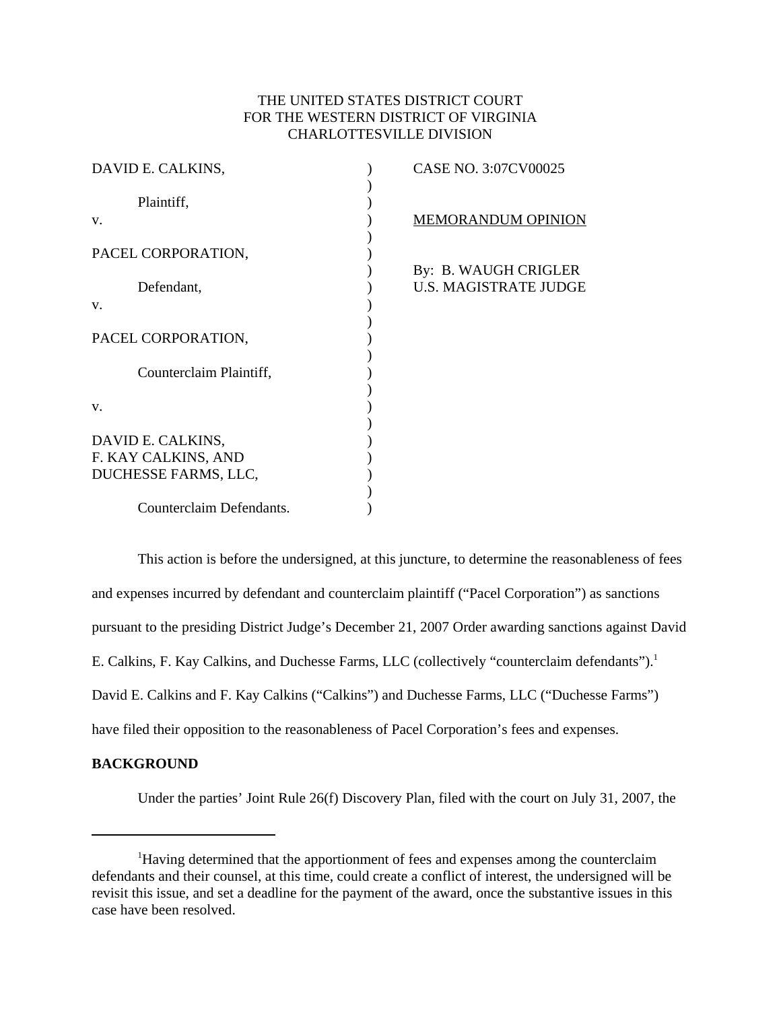## THE UNITED STATES DISTRICT COURT FOR THE WESTERN DISTRICT OF VIRGINIA CHARLOTTESVILLE DIVISION

| DAVID E. CALKINS,        | CASE NO. 3:07CV00025         |
|--------------------------|------------------------------|
|                          |                              |
| Plaintiff,               |                              |
| V.                       | <b>MEMORANDUM OPINION</b>    |
|                          |                              |
| PACEL CORPORATION,       |                              |
|                          | By: B. WAUGH CRIGLER         |
| Defendant,               | <b>U.S. MAGISTRATE JUDGE</b> |
| V.                       |                              |
|                          |                              |
| PACEL CORPORATION,       |                              |
|                          |                              |
| Counterclaim Plaintiff,  |                              |
|                          |                              |
|                          |                              |
| V.                       |                              |
|                          |                              |
| DAVID E. CALKINS,        |                              |
| F. KAY CALKINS, AND      |                              |
| DUCHESSE FARMS, LLC,     |                              |
|                          |                              |
| Counterclaim Defendants. |                              |
|                          |                              |

This action is before the undersigned, at this juncture, to determine the reasonableness of fees and expenses incurred by defendant and counterclaim plaintiff ("Pacel Corporation") as sanctions pursuant to the presiding District Judge's December 21, 2007 Order awarding sanctions against David E. Calkins, F. Kay Calkins, and Duchesse Farms, LLC (collectively "counterclaim defendants").<sup>1</sup> David E. Calkins and F. Kay Calkins ("Calkins") and Duchesse Farms, LLC ("Duchesse Farms") have filed their opposition to the reasonableness of Pacel Corporation's fees and expenses.

## **BACKGROUND**

Under the parties' Joint Rule 26(f) Discovery Plan, filed with the court on July 31, 2007, the

<sup>&</sup>lt;sup>1</sup>Having determined that the apportionment of fees and expenses among the counterclaim defendants and their counsel, at this time, could create a conflict of interest, the undersigned will be revisit this issue, and set a deadline for the payment of the award, once the substantive issues in this case have been resolved.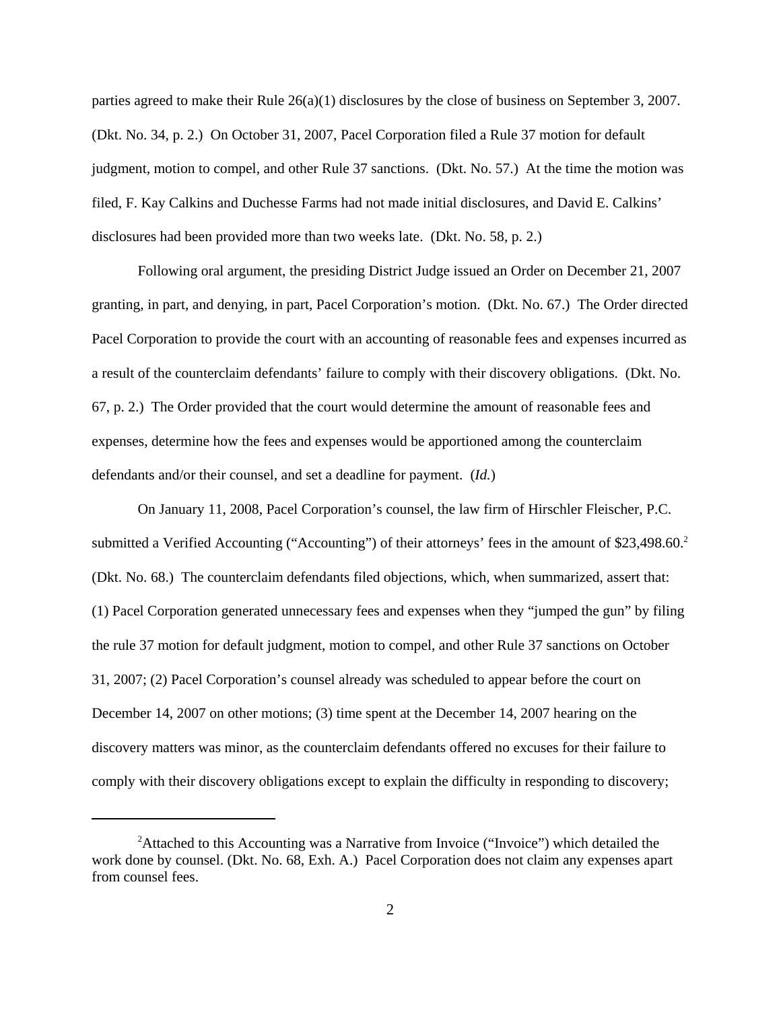parties agreed to make their Rule 26(a)(1) disclosures by the close of business on September 3, 2007. (Dkt. No. 34, p. 2.) On October 31, 2007, Pacel Corporation filed a Rule 37 motion for default judgment, motion to compel, and other Rule 37 sanctions. (Dkt. No. 57.) At the time the motion was filed, F. Kay Calkins and Duchesse Farms had not made initial disclosures, and David E. Calkins' disclosures had been provided more than two weeks late. (Dkt. No. 58, p. 2.)

Following oral argument, the presiding District Judge issued an Order on December 21, 2007 granting, in part, and denying, in part, Pacel Corporation's motion. (Dkt. No. 67.) The Order directed Pacel Corporation to provide the court with an accounting of reasonable fees and expenses incurred as a result of the counterclaim defendants' failure to comply with their discovery obligations. (Dkt. No. 67, p. 2.) The Order provided that the court would determine the amount of reasonable fees and expenses, determine how the fees and expenses would be apportioned among the counterclaim defendants and/or their counsel, and set a deadline for payment. (*Id.*)

On January 11, 2008, Pacel Corporation's counsel, the law firm of Hirschler Fleischer, P.C. submitted a Verified Accounting ("Accounting") of their attorneys' fees in the amount of \$23,498.60.<sup>2</sup> (Dkt. No. 68.) The counterclaim defendants filed objections, which, when summarized, assert that: (1) Pacel Corporation generated unnecessary fees and expenses when they "jumped the gun" by filing the rule 37 motion for default judgment, motion to compel, and other Rule 37 sanctions on October 31, 2007; (2) Pacel Corporation's counsel already was scheduled to appear before the court on December 14, 2007 on other motions; (3) time spent at the December 14, 2007 hearing on the discovery matters was minor, as the counterclaim defendants offered no excuses for their failure to comply with their discovery obligations except to explain the difficulty in responding to discovery;

<sup>&</sup>lt;sup>2</sup>Attached to this Accounting was a Narrative from Invoice ("Invoice") which detailed the work done by counsel. (Dkt. No. 68, Exh. A.) Pacel Corporation does not claim any expenses apart from counsel fees.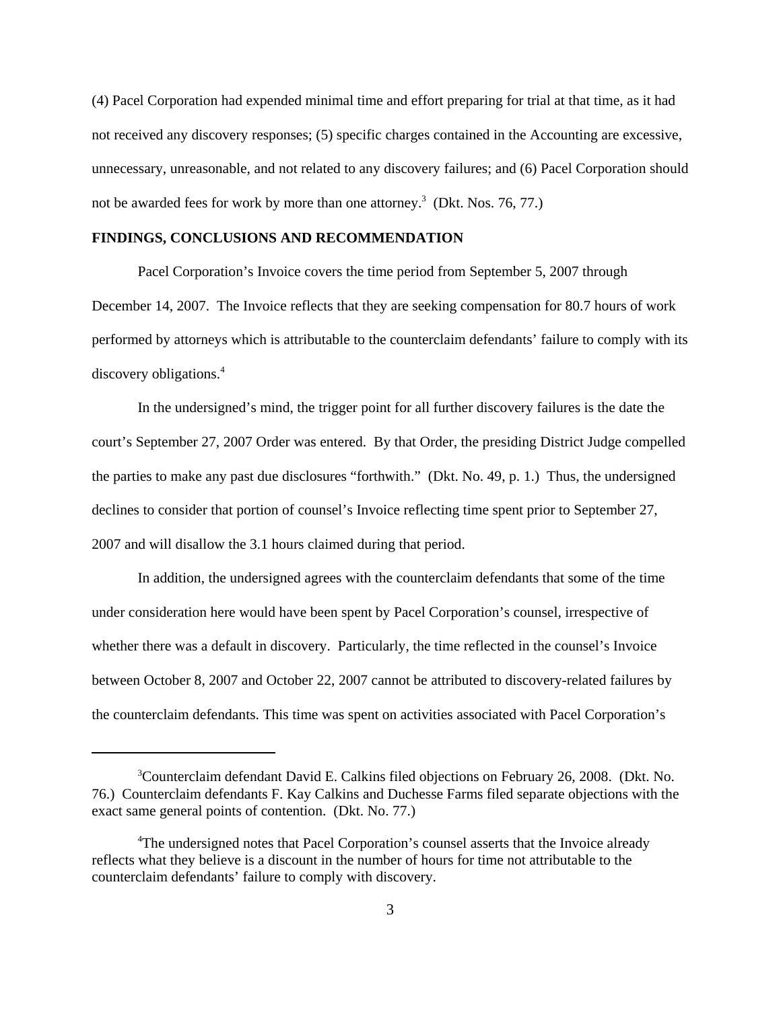(4) Pacel Corporation had expended minimal time and effort preparing for trial at that time, as it had not received any discovery responses; (5) specific charges contained in the Accounting are excessive, unnecessary, unreasonable, and not related to any discovery failures; and (6) Pacel Corporation should not be awarded fees for work by more than one attorney.<sup>3</sup> (Dkt. Nos. 76, 77.)

## **FINDINGS, CONCLUSIONS AND RECOMMENDATION**

Pacel Corporation's Invoice covers the time period from September 5, 2007 through December 14, 2007. The Invoice reflects that they are seeking compensation for 80.7 hours of work performed by attorneys which is attributable to the counterclaim defendants' failure to comply with its discovery obligations.<sup>4</sup>

In the undersigned's mind, the trigger point for all further discovery failures is the date the court's September 27, 2007 Order was entered. By that Order, the presiding District Judge compelled the parties to make any past due disclosures "forthwith." (Dkt. No. 49, p. 1.) Thus, the undersigned declines to consider that portion of counsel's Invoice reflecting time spent prior to September 27, 2007 and will disallow the 3.1 hours claimed during that period.

In addition, the undersigned agrees with the counterclaim defendants that some of the time under consideration here would have been spent by Pacel Corporation's counsel, irrespective of whether there was a default in discovery. Particularly, the time reflected in the counsel's Invoice between October 8, 2007 and October 22, 2007 cannot be attributed to discovery-related failures by the counterclaim defendants. This time was spent on activities associated with Pacel Corporation's

<sup>&</sup>lt;sup>3</sup>Counterclaim defendant David E. Calkins filed objections on February 26, 2008. (Dkt. No. 76.) Counterclaim defendants F. Kay Calkins and Duchesse Farms filed separate objections with the exact same general points of contention. (Dkt. No. 77.)

<sup>&</sup>lt;sup>4</sup>The undersigned notes that Pacel Corporation's counsel asserts that the Invoice already reflects what they believe is a discount in the number of hours for time not attributable to the counterclaim defendants' failure to comply with discovery.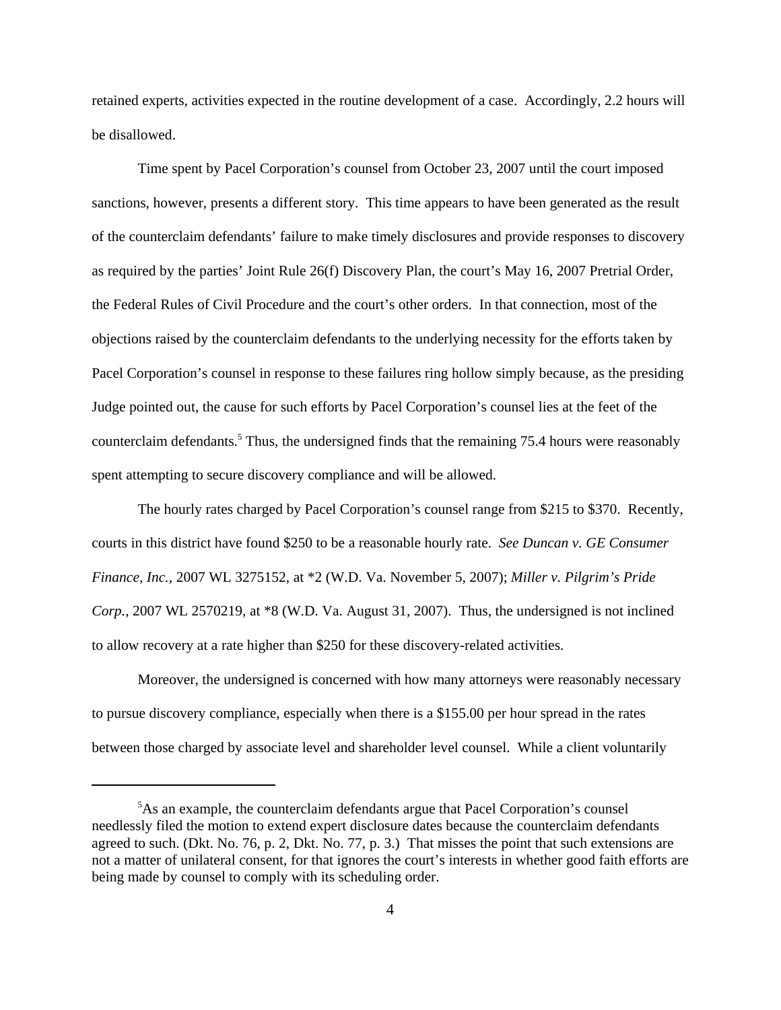retained experts, activities expected in the routine development of a case. Accordingly, 2.2 hours will be disallowed.

Time spent by Pacel Corporation's counsel from October 23, 2007 until the court imposed sanctions, however, presents a different story. This time appears to have been generated as the result of the counterclaim defendants' failure to make timely disclosures and provide responses to discovery as required by the parties' Joint Rule 26(f) Discovery Plan, the court's May 16, 2007 Pretrial Order, the Federal Rules of Civil Procedure and the court's other orders. In that connection, most of the objections raised by the counterclaim defendants to the underlying necessity for the efforts taken by Pacel Corporation's counsel in response to these failures ring hollow simply because, as the presiding Judge pointed out, the cause for such efforts by Pacel Corporation's counsel lies at the feet of the counterclaim defendants.<sup>5</sup> Thus, the undersigned finds that the remaining 75.4 hours were reasonably spent attempting to secure discovery compliance and will be allowed.

The hourly rates charged by Pacel Corporation's counsel range from \$215 to \$370. Recently, courts in this district have found \$250 to be a reasonable hourly rate. *See Duncan v. GE Consumer Finance, Inc.*, 2007 WL 3275152, at \*2 (W.D. Va. November 5, 2007); *Miller v. Pilgrim's Pride Corp.*, 2007 WL 2570219, at \*8 (W.D. Va. August 31, 2007). Thus, the undersigned is not inclined to allow recovery at a rate higher than \$250 for these discovery-related activities.

Moreover, the undersigned is concerned with how many attorneys were reasonably necessary to pursue discovery compliance, especially when there is a \$155.00 per hour spread in the rates between those charged by associate level and shareholder level counsel. While a client voluntarily

<sup>&</sup>lt;sup>5</sup>As an example, the counterclaim defendants argue that Pacel Corporation's counsel needlessly filed the motion to extend expert disclosure dates because the counterclaim defendants agreed to such. (Dkt. No. 76, p. 2, Dkt. No. 77, p. 3.) That misses the point that such extensions are not a matter of unilateral consent, for that ignores the court's interests in whether good faith efforts are being made by counsel to comply with its scheduling order.